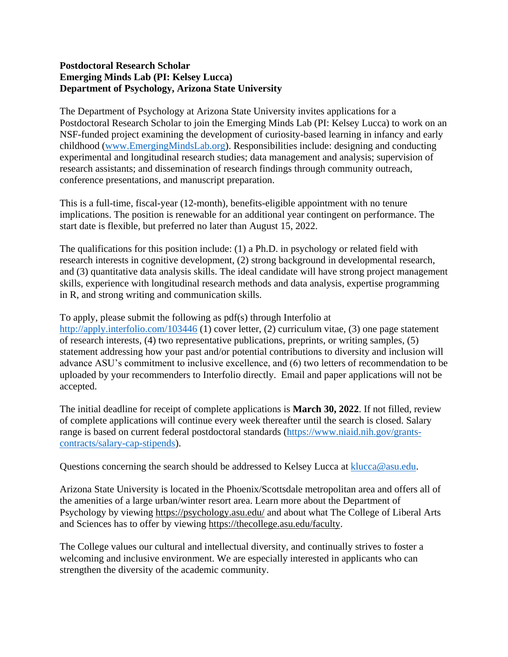## **Postdoctoral Research Scholar Emerging Minds Lab (PI: Kelsey Lucca) Department of Psychology, Arizona State University**

The Department of Psychology at Arizona State University invites applications for a Postdoctoral Research Scholar to join the Emerging Minds Lab (PI: Kelsey Lucca) to work on an NSF-funded project examining the development of curiosity-based learning in infancy and early childhood [\(www.EmergingMindsLab.org\)](http://www.emergingmindslab.org/). Responsibilities include: designing and conducting experimental and longitudinal research studies; data management and analysis; supervision of research assistants; and dissemination of research findings through community outreach, conference presentations, and manuscript preparation.

This is a full-time, fiscal-year (12-month), benefits-eligible appointment with no tenure implications. The position is renewable for an additional year contingent on performance. The start date is flexible, but preferred no later than August 15, 2022.

The qualifications for this position include: (1) a Ph.D. in psychology or related field with research interests in cognitive development, (2) strong background in developmental research, and (3) quantitative data analysis skills. The ideal candidate will have strong project management skills, experience with longitudinal research methods and data analysis, expertise programming in R, and strong writing and communication skills.

To apply, please submit the following as pdf(s) through Interfolio at <http://apply.interfolio.com/103446> (1) cover letter, (2) curriculum vitae, (3) one page statement of research interests, (4) two representative publications, preprints, or writing samples, (5) statement addressing how your past and/or potential contributions to diversity and inclusion will advance ASU's commitment to inclusive excellence, and (6) two letters of recommendation to be uploaded by your recommenders to Interfolio directly. Email and paper applications will not be accepted.

The initial deadline for receipt of complete applications is **March 30, 2022**. If not filled, review of complete applications will continue every week thereafter until the search is closed. Salary range is based on current federal postdoctoral standards [\(https://www.niaid.nih.gov/grants](https://www.niaid.nih.gov/grants-contracts/salary-cap-stipends)[contracts/salary-cap-stipends\)](https://www.niaid.nih.gov/grants-contracts/salary-cap-stipends).

Questions concerning the search should be addressed to Kelsey Lucca at [klucca@asu.edu.](mailto:klucca@asu.edu)

Arizona State University is located in the Phoenix/Scottsdale metropolitan area and offers all of the amenities of a large urban/winter resort area. Learn more about the Department of Psychology by viewing<https://psychology.asu.edu/> and about what The College of Liberal Arts and Sciences has to offer by viewing [https://thecollege.asu.edu/faculty.](https://thecollege.asu.edu/faculty)

The College values our cultural and intellectual diversity, and continually strives to foster a welcoming and inclusive environment. We are especially interested in applicants who can strengthen the diversity of the academic community.